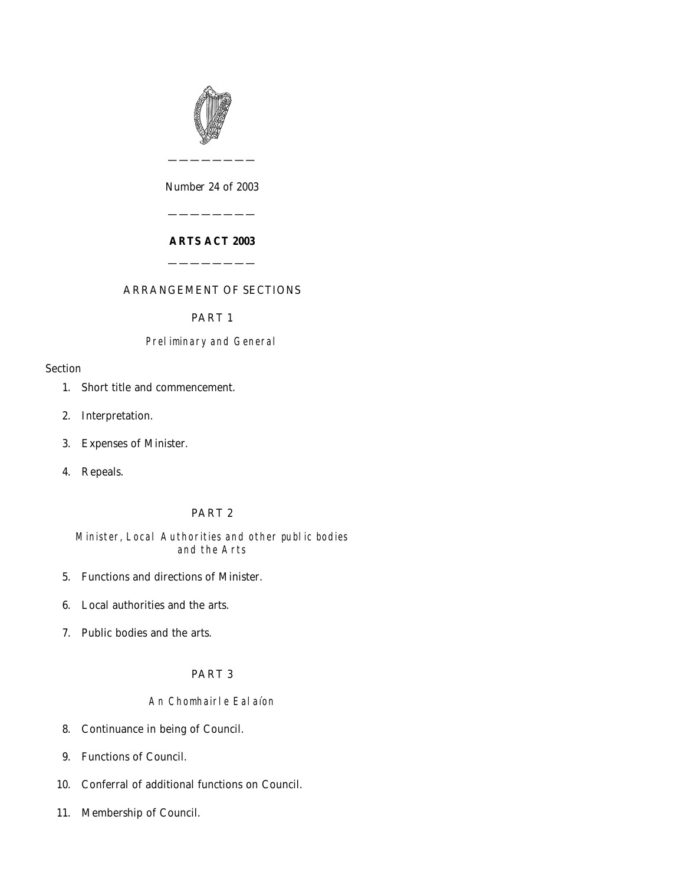

*Number* 24 *of* 2003

————————

## **ARTS ACT 2003**

————————

————————

# ARRANGEMENT OF SECTIONS

### PART 1

## Preliminary and General

### Section

- [1. Short title and commencement.](#page-2-0)
- [2. Interpretation.](#page-2-0)
- [3. Expenses of Minister.](#page-4-0)
- [4. Repeals.](#page-4-0)

# PART 2

## Minister, Local Authorities and other public bodies and the Arts

- [5. Functions and directions of Minister.](#page-4-0)
- [6. Local authorities and the arts.](#page-4-0)
- [7. Public bodies and the arts.](#page-4-0)

## PART 3

### An Chomhairle Ealaíon

- [8. Continuance in being of Council.](#page-5-0)
- [9. Functions of Council.](#page-5-0)
- [10. Conferral of additional functions on Council.](#page-6-0)
- [11. Membership of Council.](#page-6-0)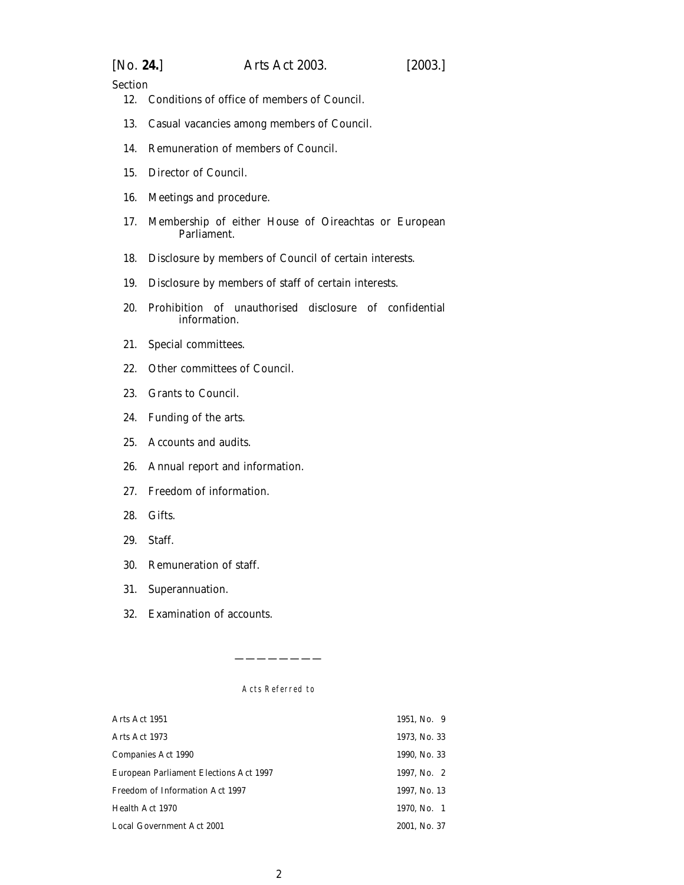| [No. 24.] | Arts Act 2003. | [2003.] |
|-----------|----------------|---------|
|           |                |         |

Section

- [12. Conditions of office of members of Council.](#page-7-0)
- [13. Casual vacancies among members of Council.](#page-8-0)
- [14. Remuneration of members of Council.](#page-8-0)
- [15. Director of Council.](#page-8-0)
- [16. Meetings and procedure.](#page-8-0)
- [17. Membership of either House of Oireachtas or European](#page-9-0) [Parliament.](#page-9-0)
- [18. Disclosure by members of Council of certain interests.](#page-10-0)
- [19. Disclosure by members of staff of certain interests.](#page-10-0)
- [20. Prohibition of unauthorised disclosure of confidential](#page-11-0) [information.](#page-11-0)
- [21. Special committees.](#page-11-0)
- [22. Other committees of Council.](#page-12-0)
- [23. Grants to Council.](#page-13-0)
- [24. Funding of the arts.](#page-13-0)
- [25. Accounts and audits.](#page-13-0)
- [26. Annual report and information.](#page-13-0)
- [27. Freedom of information.](#page-14-0)
- [28. Gifts.](#page-14-0)
- [29. Staff.](#page-14-0)
- [30. Remuneration of staff.](#page-15-0)
- [31. Superannuation.](#page-15-0)
- [32. Examination of accounts.](#page-16-0)

Acts Referred to

————————

| Arts Act 1951                          | 1951, No. 9  |
|----------------------------------------|--------------|
| Arts Act 1973                          | 1973, No. 33 |
| Companies Act 1990                     | 1990, No. 33 |
| European Parliament Elections Act 1997 | 1997, No. 2  |
| Freedom of Information Act 1997        | 1997, No. 13 |
| Health Act 1970                        | 1970. No. 1  |
| Local Government Act 2001              | 2001, No. 37 |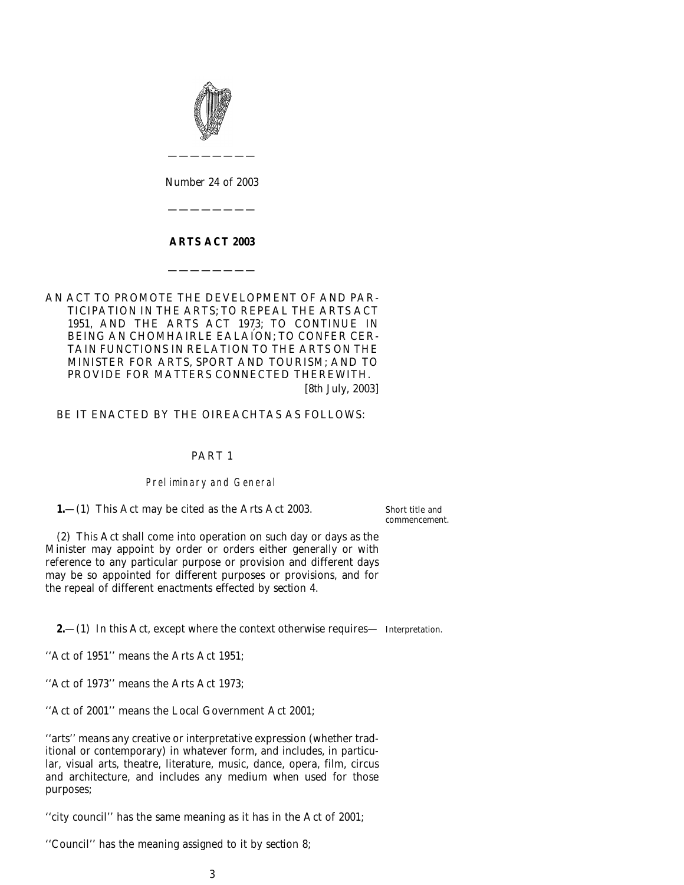<span id="page-2-0"></span>

*Number* 24 *of* 2003

————————

————————

### **ARTS ACT 2003**

————————

AN ACT TO PROMOTE THE DEVELOPMENT OF AND PAR-TICIPATION IN THE ARTS; TO REPEAL THE ARTS ACT 1951, AND THE ARTS ACT 1973; TO CONTINUE IN BEING AN CHOMHAIRLE EALAÍON; TO CONFER CER-TAIN FUNCTIONS IN RELATION TO THE ARTS ON THE MINISTER FOR ARTS, SPORT AND TOURISM; AND TO PROVIDE FOR MATTERS CONNECTED THEREWITH. [8*th July*, 2003]

BE IT ENACTED BY THE OIREACHTAS AS FOLLOWS:

### PART 1

### Preliminary and General

**1.**—(1) This Act may be cited as the Arts Act 2003.

Short title and commencement.

(2) This Act shall come into operation on such day or days as the Minister may appoint by order or orders either generally or with reference to any particular purpose or provision and different days may be so appointed for different purposes or provisions, and for the repeal of different enactments effected by *section 4*.

**2.**—(1) In this Act, except where the context otherwise requires— Interpretation.

''Act of 1951'' means the Arts Act 1951;

''Act of 1973'' means the Arts Act 1973;

''Act of 2001'' means the Local Government Act 2001;

''arts'' means any creative or interpretative expression (whether traditional or contemporary) in whatever form, and includes, in particular, visual arts, theatre, literature, music, dance, opera, film, circus and architecture, and includes any medium when used for those purposes;

''city council'' has the same meaning as it has in the Act of 2001;

''Council'' has the meaning assigned to it by *section 8*;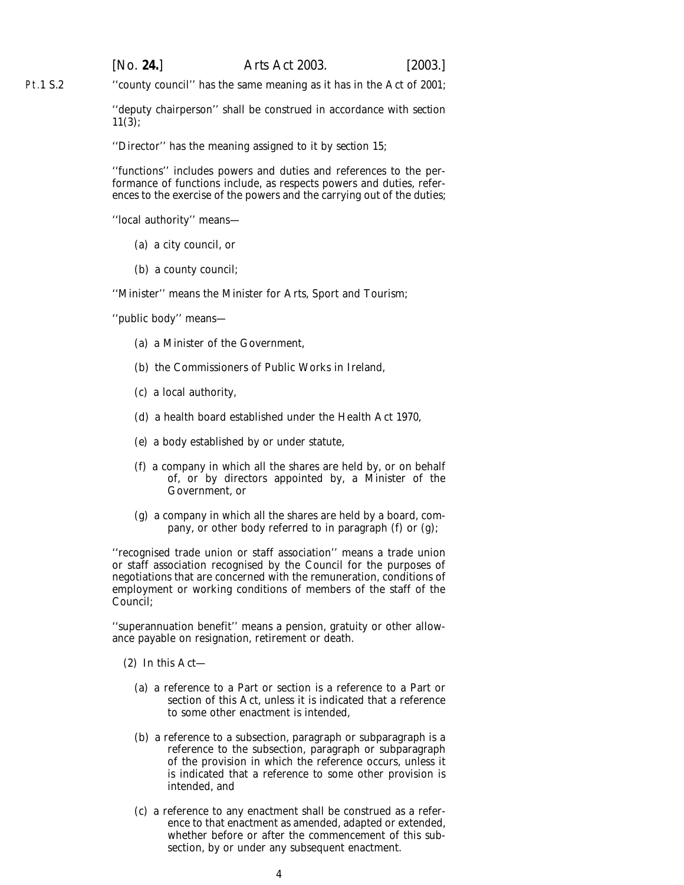[*No.* **24.**] *Arts Act* 2003. [2003.]

Pt.1 S.2 ''county council'' has the same meaning as it has in the Act of 2001;

> ''deputy chairperson'' shall be construed in accordance with *section 11(3)*;

''Director'' has the meaning assigned to it by *section 15*;

''functions'' includes powers and duties and references to the performance of functions include, as respects powers and duties, references to the exercise of the powers and the carrying out of the duties;

''local authority'' means—

- (*a*) a city council, or
- (*b*) a county council;

''Minister'' means the Minister for Arts, Sport and Tourism;

''public body'' means—

- (*a*) a Minister of the Government,
- (*b*) the Commissioners of Public Works in Ireland,
- (*c*) a local authority,
- (*d*) a health board established under the Health Act 1970,
- (*e*) a body established by or under statute,
- (*f*) a company in which all the shares are held by, or on behalf of, or by directors appointed by, a Minister of the Government, or
- (*g*) a company in which all the shares are held by a board, company, or other body referred to in *paragraph (f)* or *(g)*;

''recognised trade union or staff association'' means a trade union or staff association recognised by the Council for the purposes of negotiations that are concerned with the remuneration, conditions of employment or working conditions of members of the staff of the Council;

''superannuation benefit'' means a pension, gratuity or other allowance payable on resignation, retirement or death.

(2) In this Act—

- (*a*) a reference to a Part or section is a reference to a Part or section of this Act, unless it is indicated that a reference to some other enactment is intended,
- (*b*) a reference to a subsection, paragraph or subparagraph is a reference to the subsection, paragraph or subparagraph of the provision in which the reference occurs, unless it is indicated that a reference to some other provision is intended, and
- (*c*) a reference to any enactment shall be construed as a reference to that enactment as amended, adapted or extended, whether before or after the commencement of this subsection, by or under any subsequent enactment.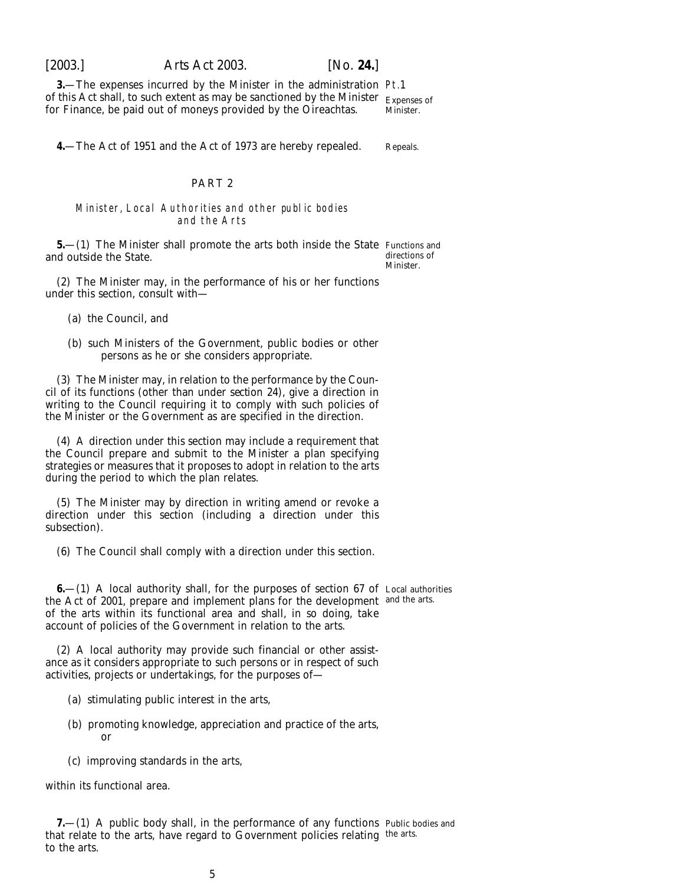<span id="page-4-0"></span>

**3.**—The expenses incurred by the Minister in the administration Pt.1 of this Act shall, to such extent as may be sanctioned by the Minister  $\rm_{Expenses~of}$ for Finance, be paid out of moneys provided by the Oireachtas. Minister.

**4.**—The Act of 1951 and the Act of 1973 are hereby repealed.

#### PART 2

#### Minister, Local Authorities and other public bodies and the Arts

**5.**—(1) The Minister shall promote the arts both inside the State Functions and and outside the State. directions of

(2) The Minister may, in the performance of his or her functions under this section, consult with—

(*a*) the Council, and

(*b*) such Ministers of the Government, public bodies or other persons as he or she considers appropriate.

(3) The Minister may, in relation to the performance by the Council of its functions (other than under *section 24*), give a direction in writing to the Council requiring it to comply with such policies of the Minister or the Government as are specified in the direction.

(4) A direction under this section may include a requirement that the Council prepare and submit to the Minister a plan specifying strategies or measures that it proposes to adopt in relation to the arts during the period to which the plan relates.

(5) The Minister may by direction in writing amend or revoke a direction under this section (including a direction under this subsection).

(6) The Council shall comply with a direction under this section.

**6.**  $-$ (1) A local authority shall, for the purposes of section 67 of Local authorities the Act of 2001, prepare and implement plans for the development and the arts. of the arts within its functional area and shall, in so doing, take account of policies of the Government in relation to the arts.

(2) A local authority may provide such financial or other assistance as it considers appropriate to such persons or in respect of such activities, projects or undertakings, for the purposes of—

- (*a*) stimulating public interest in the arts,
- (*b*) promoting knowledge, appreciation and practice of the arts, or
- (*c*) improving standards in the arts,

within its functional area.

**7.**—(1) A public body shall, in the performance of any functions Public bodies and that relate to the arts, have regard to Government policies relating the arts. to the arts.

Minister.

Repeals.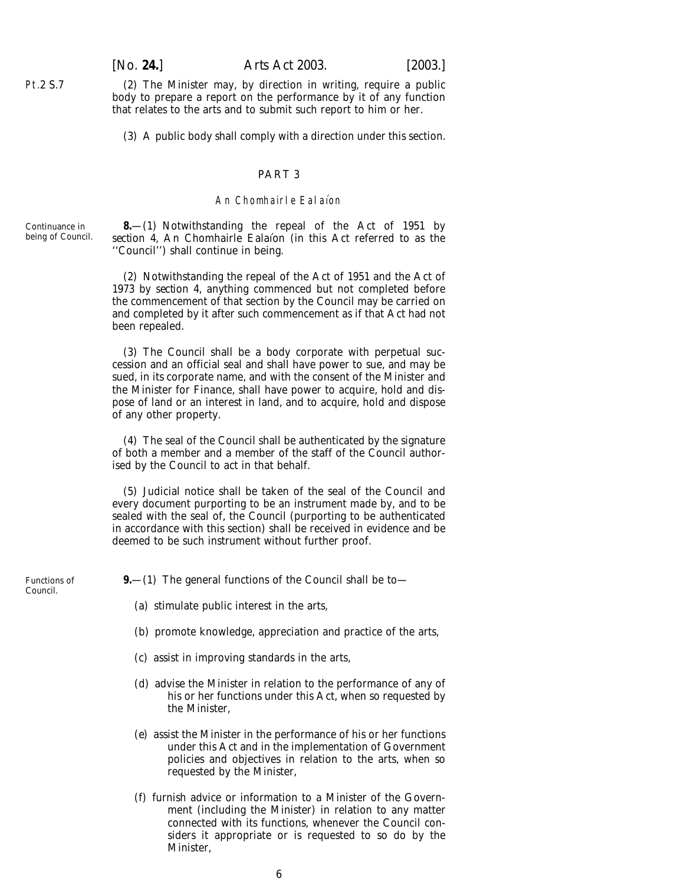(2) The Minister may, by direction in writing, require a public body to prepare a report on the performance by it of any function that relates to the arts and to submit such report to him or her.

(3) A public body shall comply with a direction under this section.

### PART 3

#### An Chomhairle Ealaíon

Continuance in being of Council.

<span id="page-5-0"></span>Pt.2 S.7

**8.**—(1) Notwithstanding the repeal of the Act of 1951 by section 4, An Chomhairle Ealaíon (in this Act referred to as the ''Council'') shall continue in being.

(2) Notwithstanding the repeal of the Act of 1951 and the Act of 1973 by *section 4*, anything commenced but not completed before the commencement of that section by the Council may be carried on and completed by it after such commencement as if that Act had not been repealed.

(3) The Council shall be a body corporate with perpetual succession and an official seal and shall have power to sue, and may be sued, in its corporate name, and with the consent of the Minister and the Minister for Finance, shall have power to acquire, hold and dispose of land or an interest in land, and to acquire, hold and dispose of any other property.

(4) The seal of the Council shall be authenticated by the signature of both a member and a member of the staff of the Council authorised by the Council to act in that behalf.

(5) Judicial notice shall be taken of the seal of the Council and every document purporting to be an instrument made by, and to be sealed with the seal of, the Council (purporting to be authenticated in accordance with this section) shall be received in evidence and be deemed to be such instrument without further proof.

Functions of Council.

**9.**—(1) The general functions of the Council shall be to—

- (*a*) stimulate public interest in the arts,
- (*b*) promote knowledge, appreciation and practice of the arts,
- (*c*) assist in improving standards in the arts,
- (*d*) advise the Minister in relation to the performance of any of his or her functions under this Act, when so requested by the Minister,
- (*e*) assist the Minister in the performance of his or her functions under this Act and in the implementation of Government policies and objectives in relation to the arts, when so requested by the Minister,
- (*f*) furnish advice or information to a Minister of the Government (including the Minister) in relation to any matter connected with its functions, whenever the Council considers it appropriate or is requested to so do by the Minister,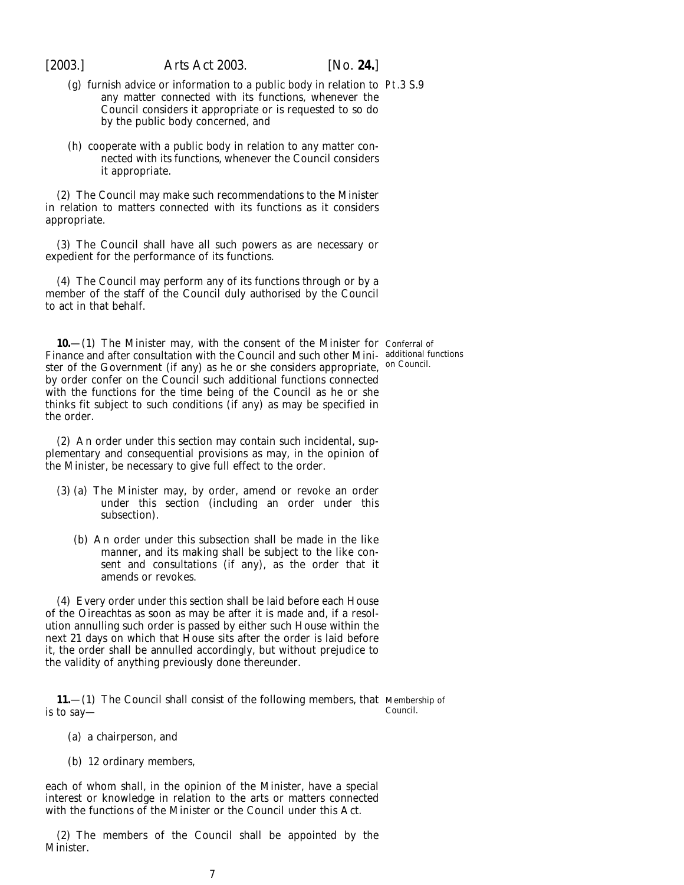<span id="page-6-0"></span>

- (*g*) furnish advice or information to a public body in relation to Pt.3 S.9 any matter connected with its functions, whenever the Council considers it appropriate or is requested to so do by the public body concerned, and
- (*h*) cooperate with a public body in relation to any matter connected with its functions, whenever the Council considers it appropriate.

(2) The Council may make such recommendations to the Minister in relation to matters connected with its functions as it considers appropriate.

(3) The Council shall have all such powers as are necessary or expedient for the performance of its functions.

(4) The Council may perform any of its functions through or by a member of the staff of the Council duly authorised by the Council to act in that behalf.

**10.** – (1) The Minister may, with the consent of the Minister for Conferral of Finance and after consultation with the Council and such other Mini- additional functions ster of the Government (if any) as he or she considers appropriate, <sup>on Council.</sup> by order confer on the Council such additional functions connected with the functions for the time being of the Council as he or she thinks fit subject to such conditions (if any) as may be specified in the order.

(2) An order under this section may contain such incidental, supplementary and consequential provisions as may, in the opinion of the Minister, be necessary to give full effect to the order.

- (3) (*a*) The Minister may, by order, amend or revoke an order under this section (including an order under this subsection).
	- (*b*) An order under this subsection shall be made in the like manner, and its making shall be subject to the like consent and consultations (if any), as the order that it amends or revokes.

(4) Every order under this section shall be laid before each House of the Oireachtas as soon as may be after it is made and, if a resolution annulling such order is passed by either such House within the next 21 days on which that House sits after the order is laid before it, the order shall be annulled accordingly, but without prejudice to the validity of anything previously done thereunder.

**11.**—(1) The Council shall consist of the following members, that Membership of is to say— Council.

- (*a*) a chairperson, and
- (*b*) 12 ordinary members,

each of whom shall, in the opinion of the Minister, have a special interest or knowledge in relation to the arts or matters connected with the functions of the Minister or the Council under this Act.

(2) The members of the Council shall be appointed by the Minister.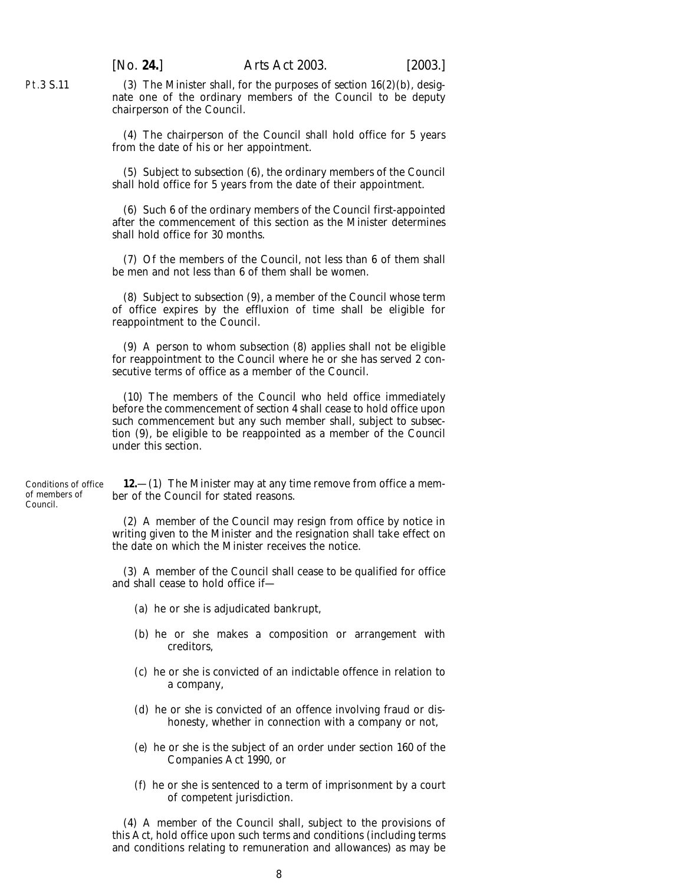(3) The Minister shall, for the purposes of *section 16(2)(b)*, designate one of the ordinary members of the Council to be deputy chairperson of the Council.

(4) The chairperson of the Council shall hold office for 5 years from the date of his or her appointment.

(5) Subject to *subsection (6)*, the ordinary members of the Council shall hold office for 5 years from the date of their appointment.

(6) Such 6 of the ordinary members of the Council first-appointed after the commencement of this section as the Minister determines shall hold office for 30 months.

(7) Of the members of the Council, not less than 6 of them shall be men and not less than 6 of them shall be women.

(8) Subject to *subsection (9)*, a member of the Council whose term of office expires by the effluxion of time shall be eligible for reappointment to the Council.

(9) A person to whom *subsection (8)* applies shall not be eligible for reappointment to the Council where he or she has served 2 consecutive terms of office as a member of the Council.

(10) The members of the Council who held office immediately before the commencement of *section 4* shall cease to hold office upon such commencement but any such member shall, subject to *subsection (9)*, be eligible to be reappointed as a member of the Council under this section.

Conditions of office of members of Council.

<span id="page-7-0"></span>Pt.3 S.11

**12.**—(1) The Minister may at any time remove from office a member of the Council for stated reasons.

(2) A member of the Council may resign from office by notice in writing given to the Minister and the resignation shall take effect on the date on which the Minister receives the notice.

(3) A member of the Council shall cease to be qualified for office and shall cease to hold office if—

- (*a*) he or she is adjudicated bankrupt,
- (*b*) he or she makes a composition or arrangement with creditors,
- (*c*) he or she is convicted of an indictable offence in relation to a company,
- (*d*) he or she is convicted of an offence involving fraud or dishonesty, whether in connection with a company or not,
- (*e*) he or she is the subject of an order under section 160 of the Companies Act 1990, or
- (*f*) he or she is sentenced to a term of imprisonment by a court of competent jurisdiction.

(4) A member of the Council shall, subject to the provisions of this Act, hold office upon such terms and conditions (including terms and conditions relating to remuneration and allowances) as may be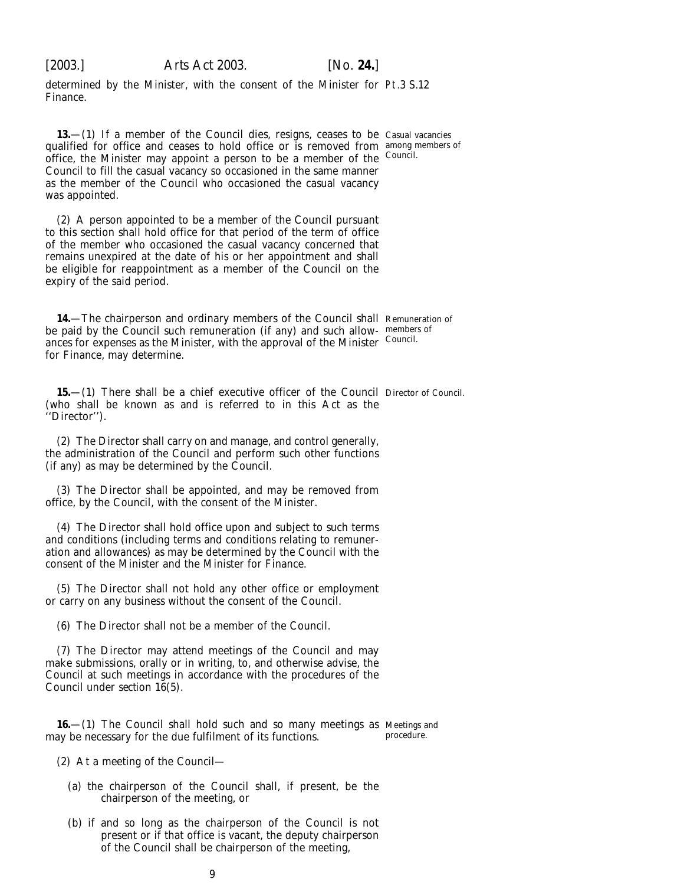<span id="page-8-0"></span>

determined by the Minister, with the consent of the Minister for Pt.3 S.12 Finance.

**13.**—(1) If a member of the Council dies, resigns, ceases to be Casual vacancies qualified for office and ceases to hold office or is removed from among members of office, the Minister may appoint a person to be a member of the Council. Council to fill the casual vacancy so occasioned in the same manner as the member of the Council who occasioned the casual vacancy was appointed.

(2) A person appointed to be a member of the Council pursuant to this section shall hold office for that period of the term of office of the member who occasioned the casual vacancy concerned that remains unexpired at the date of his or her appointment and shall be eligible for reappointment as a member of the Council on the expiry of the said period.

**14.**—The chairperson and ordinary members of the Council shall Remuneration of be paid by the Council such remuneration (if any) and such allow-members of ances for expenses as the Minister, with the approval of the Minister Council. for Finance, may determine.

**15.—(1)** There shall be a chief executive officer of the Council Director of Council. (who shall be known as and is referred to in this Act as the ''Director'').

(2) The Director shall carry on and manage, and control generally, the administration of the Council and perform such other functions (if any) as may be determined by the Council.

(3) The Director shall be appointed, and may be removed from office, by the Council, with the consent of the Minister.

(4) The Director shall hold office upon and subject to such terms and conditions (including terms and conditions relating to remuneration and allowances) as may be determined by the Council with the consent of the Minister and the Minister for Finance.

(5) The Director shall not hold any other office or employment or carry on any business without the consent of the Council.

(6) The Director shall not be a member of the Council.

(7) The Director may attend meetings of the Council and may make submissions, orally or in writing, to, and otherwise advise, the Council at such meetings in accordance with the procedures of the Council under *section 16(5)*.

**16.**—(1) The Council shall hold such and so many meetings as Meetings and may be necessary for the due fulfilment of its functions. procedure.

(2) At a meeting of the Council—

- (*a*) the chairperson of the Council shall, if present, be the chairperson of the meeting, or
- (*b*) if and so long as the chairperson of the Council is not present or if that office is vacant, the deputy chairperson of the Council shall be chairperson of the meeting,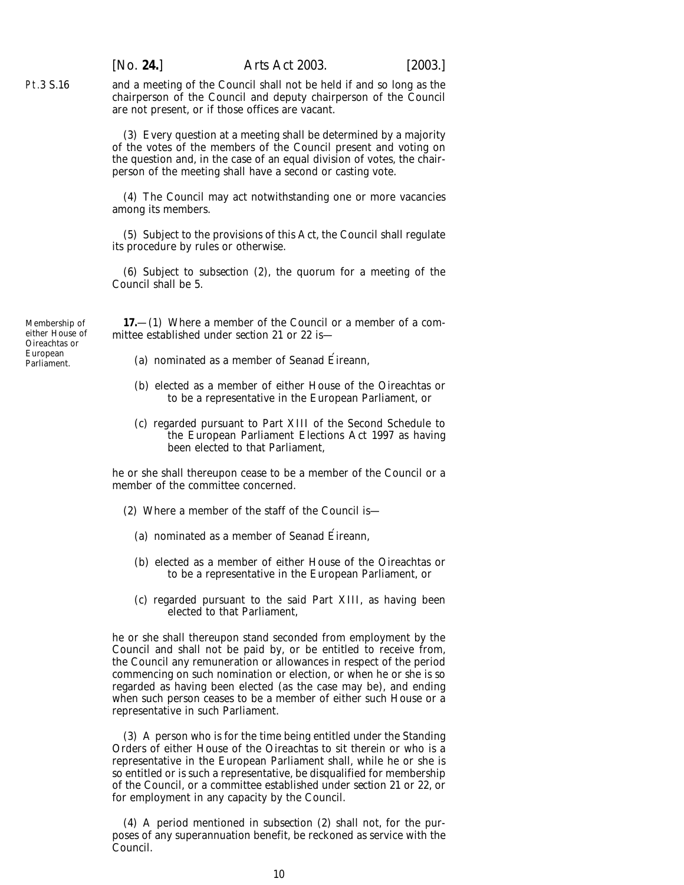[*No.* **24.**] *Arts Act* 2003. [2003.]

and a meeting of the Council shall not be held if and so long as the chairperson of the Council and deputy chairperson of the Council are not present, or if those offices are vacant.

(3) Every question at a meeting shall be determined by a majority of the votes of the members of the Council present and voting on the question and, in the case of an equal division of votes, the chairperson of the meeting shall have a second or casting vote.

(4) The Council may act notwithstanding one or more vacancies among its members.

(5) Subject to the provisions of this Act, the Council shall regulate its procedure by rules or otherwise.

(6) Subject to *subsection (2)*, the quorum for a meeting of the Council shall be 5.

Membership of either House of Oireachtas or European Parliament.

<span id="page-9-0"></span>Pt.3 S.16

**17.**—(1) Where a member of the Council or a member of a committee established under *section 21* or *22* is—

- (*a*) nominated as a member of Seanad Eireann,
- (*b*) elected as a member of either House of the Oireachtas or to be a representative in the European Parliament, or
- (*c*) regarded pursuant to Part XIII of the Second Schedule to the European Parliament Elections Act 1997 as having been elected to that Parliament,

he or she shall thereupon cease to be a member of the Council or a member of the committee concerned.

- (2) Where a member of the staff of the Council is—
	- (*a*) nominated as a member of Seanad Eireann,
	- (*b*) elected as a member of either House of the Oireachtas or to be a representative in the European Parliament, or
	- (*c*) regarded pursuant to the said Part XIII, as having been elected to that Parliament,

he or she shall thereupon stand seconded from employment by the Council and shall not be paid by, or be entitled to receive from, the Council any remuneration or allowances in respect of the period commencing on such nomination or election, or when he or she is so regarded as having been elected (as the case may be), and ending when such person ceases to be a member of either such House or a representative in such Parliament.

(3) A person who is for the time being entitled under the Standing Orders of either House of the Oireachtas to sit therein or who is a representative in the European Parliament shall, while he or she is so entitled or is such a representative, be disqualified for membership of the Council, or a committee established under *section 21* or *22*, or for employment in any capacity by the Council.

(4) A period mentioned in *subsection (2)* shall not, for the purposes of any superannuation benefit, be reckoned as service with the Council.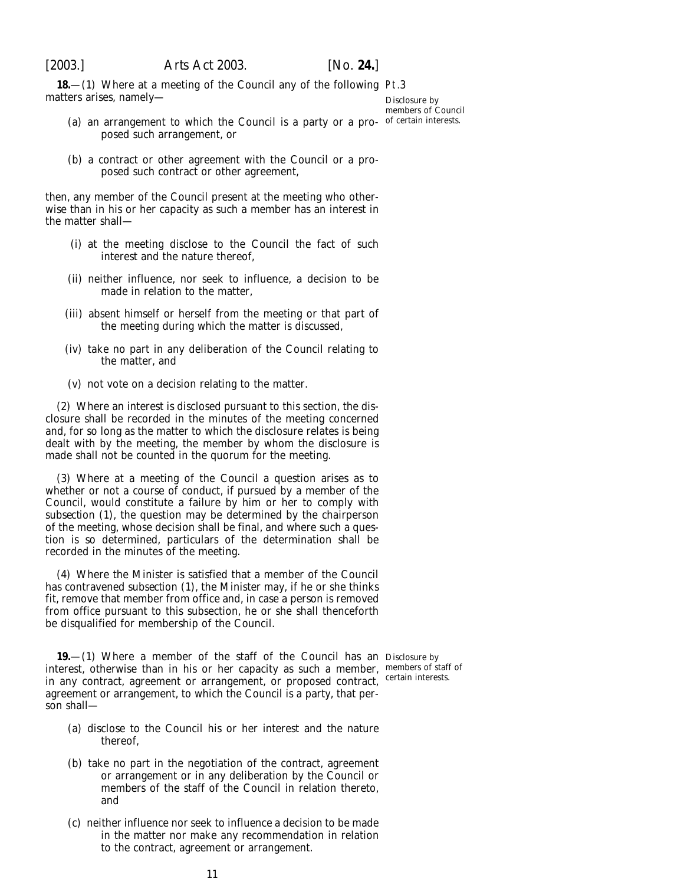<span id="page-10-0"></span>

**18**—(1) Where at a meeting of the Council any of the following Pt.3 matters arises, namely—

Disclosure by members of Council

- (a) an arrangement to which the Council is a party or a pro- of certain interests. posed such arrangement, or
- (*b*) a contract or other agreement with the Council or a proposed such contract or other agreement,

then, any member of the Council present at the meeting who otherwise than in his or her capacity as such a member has an interest in the matter shall—

- (i) at the meeting disclose to the Council the fact of such interest and the nature thereof,
- (ii) neither influence, nor seek to influence, a decision to be made in relation to the matter,
- (iii) absent himself or herself from the meeting or that part of the meeting during which the matter is discussed,
- (iv) take no part in any deliberation of the Council relating to the matter, and
- (v) not vote on a decision relating to the matter.

(2) Where an interest is disclosed pursuant to this section, the disclosure shall be recorded in the minutes of the meeting concerned and, for so long as the matter to which the disclosure relates is being dealt with by the meeting, the member by whom the disclosure is made shall not be counted in the quorum for the meeting.

(3) Where at a meeting of the Council a question arises as to whether or not a course of conduct, if pursued by a member of the Council, would constitute a failure by him or her to comply with *subsection (1)*, the question may be determined by the chairperson of the meeting, whose decision shall be final, and where such a question is so determined, particulars of the determination shall be recorded in the minutes of the meeting.

(4) Where the Minister is satisfied that a member of the Council has contravened *subsection (1)*, the Minister may, if he or she thinks fit, remove that member from office and, in case a person is removed from office pursuant to this subsection, he or she shall thenceforth be disqualified for membership of the Council.

**19.**—(1) Where a member of the staff of the Council has an Disclosure by interest, otherwise than in his or her capacity as such a member, members of staff of in any contract, agreement or arrangement, or proposed contract, certain interests. agreement or arrangement, to which the Council is a party, that person shall—

- (*a*) disclose to the Council his or her interest and the nature thereof,
- (*b*) take no part in the negotiation of the contract, agreement or arrangement or in any deliberation by the Council or members of the staff of the Council in relation thereto, and
- (*c*) neither influence nor seek to influence a decision to be made in the matter nor make any recommendation in relation to the contract, agreement or arrangement.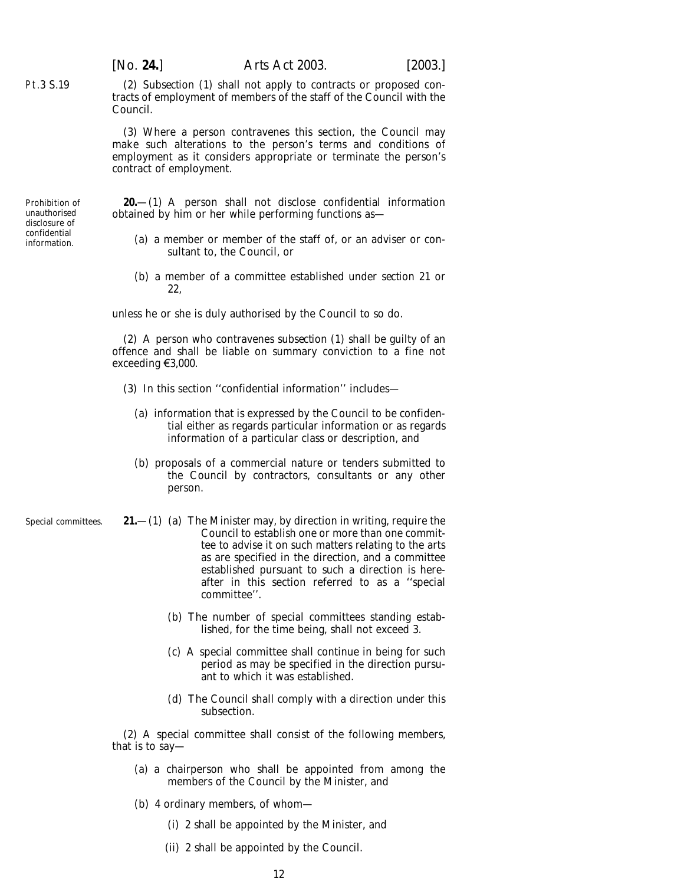(2) *Subsection (1)* shall not apply to contracts or proposed contracts of employment of members of the staff of the Council with the Council.

(3) Where a person contravenes this section, the Council may make such alterations to the person's terms and conditions of employment as it considers appropriate or terminate the person's contract of employment.

Prohibition of unauthorised disclosure of confidential information.

<span id="page-11-0"></span>Pt.3 S.19

**20.**—(1) A person shall not disclose confidential information obtained by him or her while performing functions as—

- (*a*) a member or member of the staff of, or an adviser or consultant to, the Council, or
- (*b*) a member of a committee established under *section 21* or *22*,

unless he or she is duly authorised by the Council to so do.

(2) A person who contravenes *subsection (1)* shall be guilty of an offence and shall be liable on summary conviction to a fine not exceeding  $\xi3,000$ .

- (3) In this section ''confidential information'' includes—
	- (*a*) information that is expressed by the Council to be confidential either as regards particular information or as regards information of a particular class or description, and
	- (*b*) proposals of a commercial nature or tenders submitted to the Council by contractors, consultants or any other person.
- Special committees. **21.**—(1) (*a*) The Minister may, by direction in writing, require the Council to establish one or more than one committee to advise it on such matters relating to the arts as are specified in the direction, and a committee established pursuant to such a direction is hereafter in this section referred to as a ''special committee''.
	- (*b*) The number of special committees standing established, for the time being, shall not exceed 3.
	- (*c*) A special committee shall continue in being for such period as may be specified in the direction pursuant to which it was established.
	- (*d*) The Council shall comply with a direction under this subsection.

(2) A special committee shall consist of the following members, that is to say—

- (*a*) a chairperson who shall be appointed from among the members of the Council by the Minister, and
- (*b*) 4 ordinary members, of whom—
	- (i) 2 shall be appointed by the Minister, and
	- (ii) 2 shall be appointed by the Council.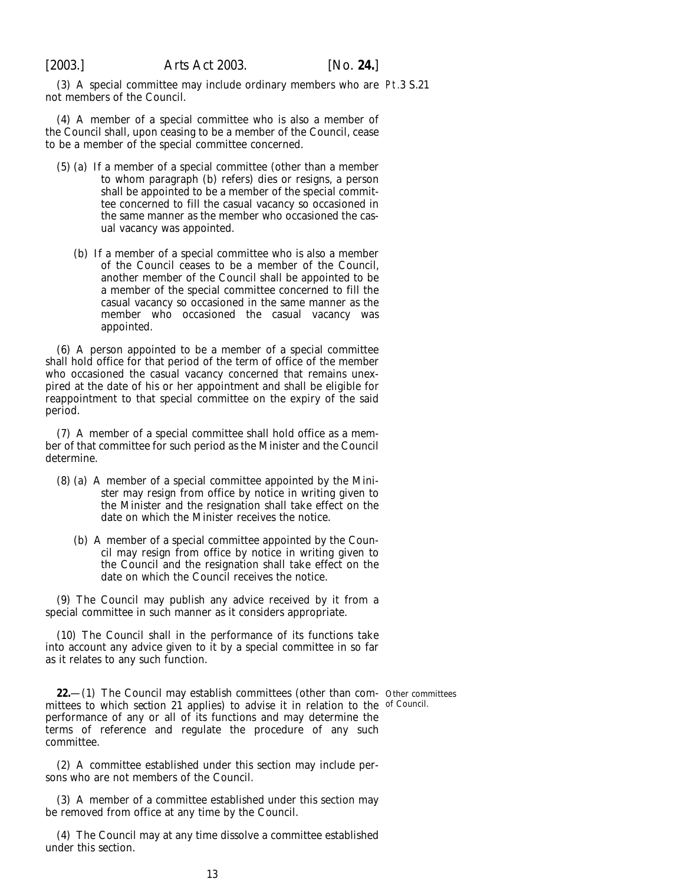<span id="page-12-0"></span>

(3) A special committee may include ordinary members who are Pt.3 S.21 not members of the Council.

(4) A member of a special committee who is also a member of the Council shall, upon ceasing to be a member of the Council, cease to be a member of the special committee concerned.

- (5) (*a*) If a member of a special committee (other than a member to whom *paragraph (b)* refers) dies or resigns, a person shall be appointed to be a member of the special committee concerned to fill the casual vacancy so occasioned in the same manner as the member who occasioned the casual vacancy was appointed.
	- (*b*) If a member of a special committee who is also a member of the Council ceases to be a member of the Council, another member of the Council shall be appointed to be a member of the special committee concerned to fill the casual vacancy so occasioned in the same manner as the member who occasioned the casual vacancy was appointed.

(6) A person appointed to be a member of a special committee shall hold office for that period of the term of office of the member who occasioned the casual vacancy concerned that remains unexpired at the date of his or her appointment and shall be eligible for reappointment to that special committee on the expiry of the said period.

(7) A member of a special committee shall hold office as a member of that committee for such period as the Minister and the Council determine.

- (8) (*a*) A member of a special committee appointed by the Minister may resign from office by notice in writing given to the Minister and the resignation shall take effect on the date on which the Minister receives the notice.
	- (*b*) A member of a special committee appointed by the Council may resign from office by notice in writing given to the Council and the resignation shall take effect on the date on which the Council receives the notice.

(9) The Council may publish any advice received by it from a special committee in such manner as it considers appropriate.

(10) The Council shall in the performance of its functions take into account any advice given to it by a special committee in so far as it relates to any such function.

**22.**—(1) The Council may establish committees (other than com- Other committees mittees to which *section 21* applies) to advise it in relation to the of Council.performance of any or all of its functions and may determine the terms of reference and regulate the procedure of any such committee.

(2) A committee established under this section may include persons who are not members of the Council.

(3) A member of a committee established under this section may be removed from office at any time by the Council.

(4) The Council may at any time dissolve a committee established under this section.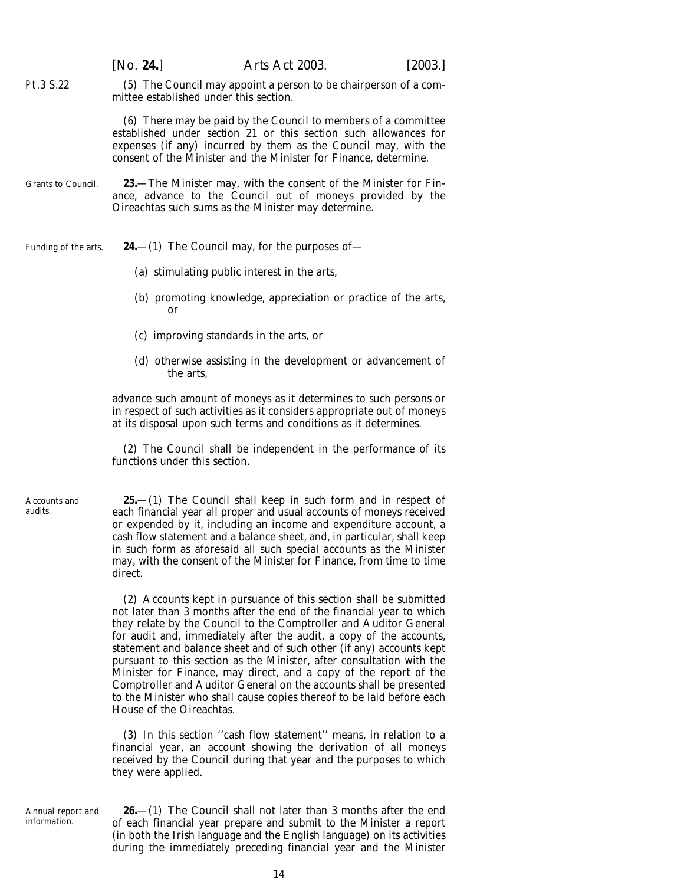<span id="page-13-0"></span>

|                         | [No. 24.]                                                                                                                                                                                                                                                                        | Arts Act 2003.                                                                                                                                                                                                                                                                                                                                                                                                                                                                                                                                                                                                                                             | [2003.] |
|-------------------------|----------------------------------------------------------------------------------------------------------------------------------------------------------------------------------------------------------------------------------------------------------------------------------|------------------------------------------------------------------------------------------------------------------------------------------------------------------------------------------------------------------------------------------------------------------------------------------------------------------------------------------------------------------------------------------------------------------------------------------------------------------------------------------------------------------------------------------------------------------------------------------------------------------------------------------------------------|---------|
| Pt.3 S.22               | mittee established under this section.                                                                                                                                                                                                                                           | (5) The Council may appoint a person to be chairperson of a com-                                                                                                                                                                                                                                                                                                                                                                                                                                                                                                                                                                                           |         |
|                         | (6) There may be paid by the Council to members of a committee<br>established under <i>section 21</i> or this section such allowances for<br>expenses (if any) incurred by them as the Council may, with the<br>consent of the Minister and the Minister for Finance, determine. |                                                                                                                                                                                                                                                                                                                                                                                                                                                                                                                                                                                                                                                            |         |
| Grants to Council.      |                                                                                                                                                                                                                                                                                  | <b>23.</b> —The Minister may, with the consent of the Minister for Fin-<br>ance, advance to the Council out of moneys provided by the<br>Oireachtas such sums as the Minister may determine.                                                                                                                                                                                                                                                                                                                                                                                                                                                               |         |
| Funding of the arts.    |                                                                                                                                                                                                                                                                                  | <b>24.</b> —(1) The Council may, for the purposes of—                                                                                                                                                                                                                                                                                                                                                                                                                                                                                                                                                                                                      |         |
|                         | (a) stimulating public interest in the arts,                                                                                                                                                                                                                                     |                                                                                                                                                                                                                                                                                                                                                                                                                                                                                                                                                                                                                                                            |         |
|                         | or                                                                                                                                                                                                                                                                               | (b) promoting knowledge, appreciation or practice of the arts,                                                                                                                                                                                                                                                                                                                                                                                                                                                                                                                                                                                             |         |
|                         | $(c)$ improving standards in the arts, or                                                                                                                                                                                                                                        |                                                                                                                                                                                                                                                                                                                                                                                                                                                                                                                                                                                                                                                            |         |
|                         | the arts.                                                                                                                                                                                                                                                                        | $(d)$ otherwise assisting in the development or advancement of                                                                                                                                                                                                                                                                                                                                                                                                                                                                                                                                                                                             |         |
|                         |                                                                                                                                                                                                                                                                                  | advance such amount of moneys as it determines to such persons or<br>in respect of such activities as it considers appropriate out of moneys<br>at its disposal upon such terms and conditions as it determines.                                                                                                                                                                                                                                                                                                                                                                                                                                           |         |
|                         | functions under this section.                                                                                                                                                                                                                                                    | (2) The Council shall be independent in the performance of its                                                                                                                                                                                                                                                                                                                                                                                                                                                                                                                                                                                             |         |
| Accounts and<br>audits. | direct.                                                                                                                                                                                                                                                                          | <b>25.</b> —(1) The Council shall keep in such form and in respect of<br>each financial year all proper and usual accounts of moneys received<br>or expended by it, including an income and expenditure account, a<br>cash flow statement and a balance sheet, and, in particular, shall keep<br>in such form as aforesaid all such special accounts as the Minister<br>may, with the consent of the Minister for Finance, from time to time                                                                                                                                                                                                               |         |
|                         | House of the Oireachtas.                                                                                                                                                                                                                                                         | (2) Accounts kept in pursuance of this section shall be submitted<br>not later than 3 months after the end of the financial year to which<br>they relate by the Council to the Comptroller and Auditor General<br>for audit and, immediately after the audit, a copy of the accounts,<br>statement and balance sheet and of such other (if any) accounts kept<br>pursuant to this section as the Minister, after consultation with the<br>Minister for Finance, may direct, and a copy of the report of the<br>Comptroller and Auditor General on the accounts shall be presented<br>to the Minister who shall cause copies thereof to be laid before each |         |

(3) In this section ''cash flow statement'' means, in relation to a financial year, an account showing the derivation of all moneys received by the Council during that year and the purposes to which they were applied.

Annual report and information.

**26.**—(1) The Council shall not later than 3 months after the end of each financial year prepare and submit to the Minister a report (in both the Irish language and the English language) on its activities during the immediately preceding financial year and the Minister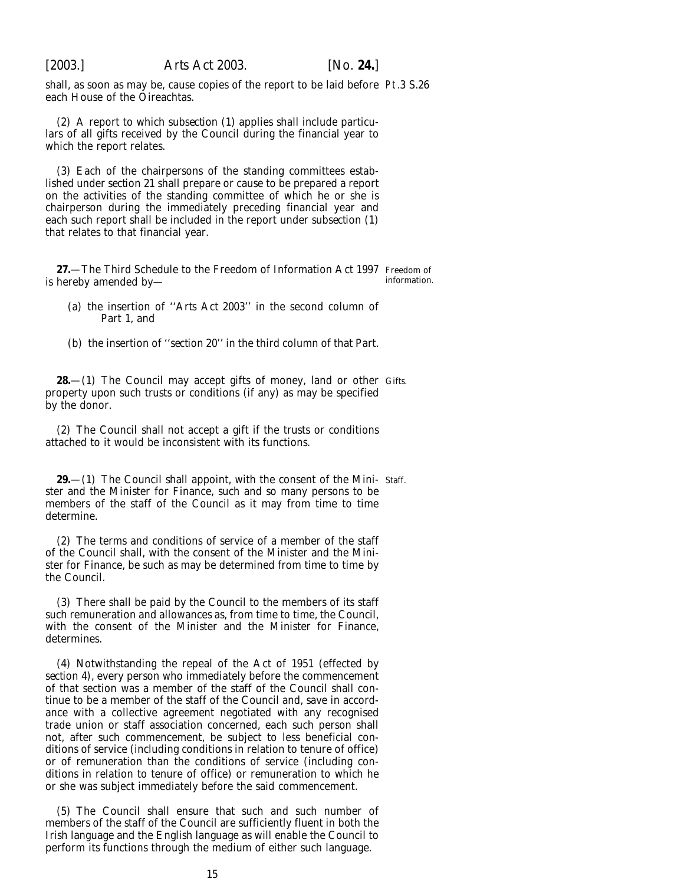<span id="page-14-0"></span>

shall, as soon as may be, cause copies of the report to be laid before Pt.3 S.26 each House of the Oireachtas.

(2) A report to which *subsection (1)* applies shall include particulars of all gifts received by the Council during the financial year to which the report relates.

(3) Each of the chairpersons of the standing committees established under *section 21* shall prepare or cause to be prepared a report on the activities of the standing committee of which he or she is chairperson during the immediately preceding financial year and each such report shall be included in the report under *subsection (1)* that relates to that financial year.

**27.**—The Third Schedule to the Freedom of Information Act 1997 Freedom of is hereby amended by information.

- (*a*) the insertion of ''*Arts Act 2003*'' in the second column of Part 1, and
- (*b*) the insertion of ''*section 20*'' in the third column of that Part.

**28.**—(1) The Council may accept gifts of money, land or other Gifts. property upon such trusts or conditions (if any) as may be specified by the donor.

(2) The Council shall not accept a gift if the trusts or conditions attached to it would be inconsistent with its functions.

**29.**—(1) The Council shall appoint, with the consent of the Mini- Staff. ster and the Minister for Finance, such and so many persons to be members of the staff of the Council as it may from time to time determine.

(2) The terms and conditions of service of a member of the staff of the Council shall, with the consent of the Minister and the Minister for Finance, be such as may be determined from time to time by the Council.

(3) There shall be paid by the Council to the members of its staff such remuneration and allowances as, from time to time, the Council, with the consent of the Minister and the Minister for Finance, determines.

(4) Notwithstanding the repeal of the Act of 1951 (effected by *section 4*), every person who immediately before the commencement of that section was a member of the staff of the Council shall continue to be a member of the staff of the Council and, save in accordance with a collective agreement negotiated with any recognised trade union or staff association concerned, each such person shall not, after such commencement, be subject to less beneficial conditions of service (including conditions in relation to tenure of office) or of remuneration than the conditions of service (including conditions in relation to tenure of office) or remuneration to which he or she was subject immediately before the said commencement.

(5) The Council shall ensure that such and such number of members of the staff of the Council are sufficiently fluent in both the Irish language and the English language as will enable the Council to perform its functions through the medium of either such language.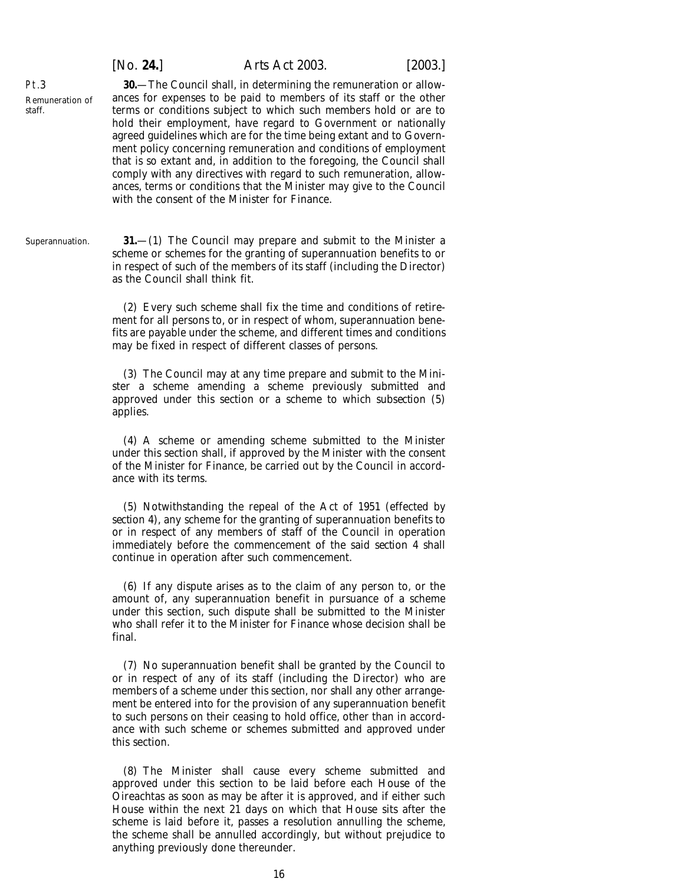| [No. 24.] | <i>Arts Act 2003.</i> | [2003.] |
|-----------|-----------------------|---------|
|           |                       |         |

<span id="page-15-0"></span>Pt.3 Remuneration of staff.

**30.**—The Council shall, in determining the remuneration or allowances for expenses to be paid to members of its staff or the other terms or conditions subject to which such members hold or are to hold their employment, have regard to Government or nationally agreed guidelines which are for the time being extant and to Government policy concerning remuneration and conditions of employment that is so extant and, in addition to the foregoing, the Council shall comply with any directives with regard to such remuneration, allowances, terms or conditions that the Minister may give to the Council with the consent of the Minister for Finance.

Superannuation. **31.**—(1) The Council may prepare and submit to the Minister a scheme or schemes for the granting of superannuation benefits to or in respect of such of the members of its staff (including the Director) as the Council shall think fit.

> (2) Every such scheme shall fix the time and conditions of retirement for all persons to, or in respect of whom, superannuation benefits are payable under the scheme, and different times and conditions may be fixed in respect of different classes of persons.

> (3) The Council may at any time prepare and submit to the Minister a scheme amending a scheme previously submitted and approved under this section or a scheme to which *subsection (5)* applies.

> (4) A scheme or amending scheme submitted to the Minister under this section shall, if approved by the Minister with the consent of the Minister for Finance, be carried out by the Council in accordance with its terms.

> (5) Notwithstanding the repeal of the Act of 1951 (effected by *section 4*), any scheme for the granting of superannuation benefits to or in respect of any members of staff of the Council in operation immediately before the commencement of the said *section 4* shall continue in operation after such commencement.

> (6) If any dispute arises as to the claim of any person to, or the amount of, any superannuation benefit in pursuance of a scheme under this section, such dispute shall be submitted to the Minister who shall refer it to the Minister for Finance whose decision shall be final.

> (7) No superannuation benefit shall be granted by the Council to or in respect of any of its staff (including the Director) who are members of a scheme under this section, nor shall any other arrangement be entered into for the provision of any superannuation benefit to such persons on their ceasing to hold office, other than in accordance with such scheme or schemes submitted and approved under this section.

> (8) The Minister shall cause every scheme submitted and approved under this section to be laid before each House of the Oireachtas as soon as may be after it is approved, and if either such House within the next 21 days on which that House sits after the scheme is laid before it, passes a resolution annulling the scheme, the scheme shall be annulled accordingly, but without prejudice to anything previously done thereunder.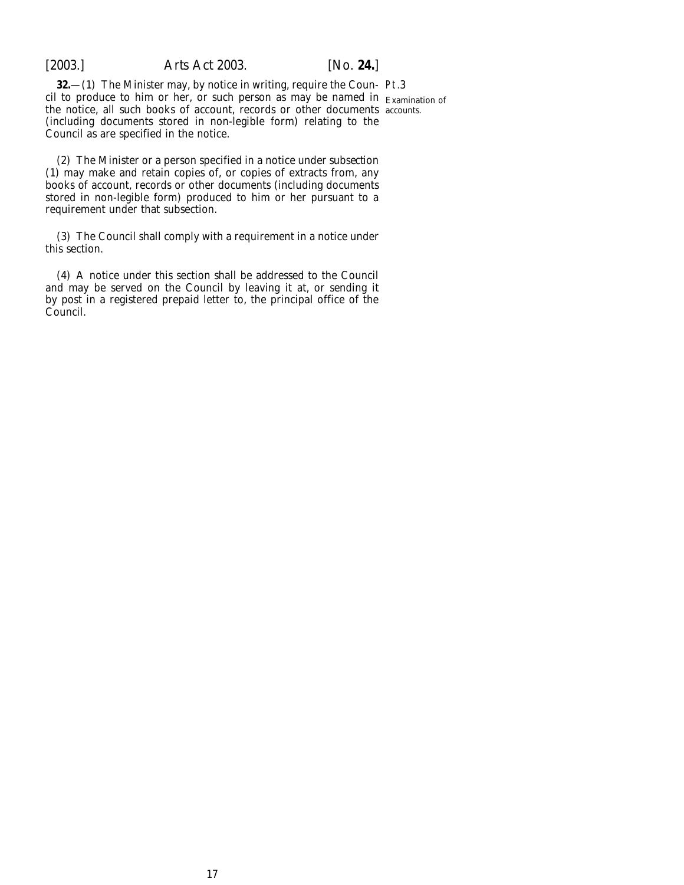<span id="page-16-0"></span>

**32.**—(1) The Minister may, by notice in writing, require the Coun- Pt.3 cil to produce to him or her, or such person as may be named in Examination of the notice, all such books of account, records or other documents accounts.(including documents stored in non-legible form) relating to the Council as are specified in the notice.

(2) The Minister or a person specified in a notice under *subsection (1)* may make and retain copies of, or copies of extracts from, any books of account, records or other documents (including documents stored in non-legible form) produced to him or her pursuant to a requirement under that subsection.

(3) The Council shall comply with a requirement in a notice under this section.

(4) A notice under this section shall be addressed to the Council and may be served on the Council by leaving it at, or sending it by post in a registered prepaid letter to, the principal office of the Council.